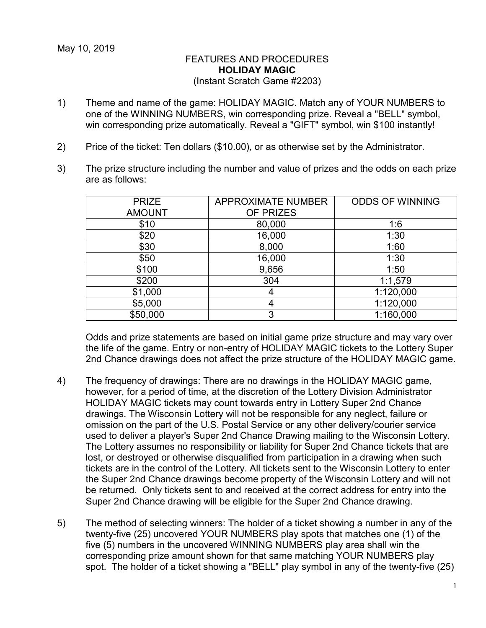## FEATURES AND PROCEDURES **HOLIDAY MAGIC** (Instant Scratch Game #2203)

- 1) Theme and name of the game: HOLIDAY MAGIC. Match any of YOUR NUMBERS to one of the WINNING NUMBERS, win corresponding prize. Reveal a "BELL" symbol, win corresponding prize automatically. Reveal a "GIFT" symbol, win \$100 instantly!
- 2) Price of the ticket: Ten dollars (\$10.00), or as otherwise set by the Administrator.
- 3) The prize structure including the number and value of prizes and the odds on each prize are as follows:

| <b>PRIZE</b>  | <b>APPROXIMATE NUMBER</b> | <b>ODDS OF WINNING</b> |
|---------------|---------------------------|------------------------|
| <b>AMOUNT</b> | OF PRIZES                 |                        |
| \$10          | 80,000                    | 1:6                    |
| \$20          | 16,000                    | 1:30                   |
| \$30          | 8,000                     | 1:60                   |
| \$50          | 16,000                    | 1:30                   |
| \$100         | 9,656                     | 1:50                   |
| \$200         | 304                       | 1:1,579                |
| \$1,000       | 4                         | 1:120,000              |
| \$5,000       |                           | 1:120,000              |
| \$50,000      | 3                         | 1:160,000              |

Odds and prize statements are based on initial game prize structure and may vary over the life of the game. Entry or non-entry of HOLIDAY MAGIC tickets to the Lottery Super 2nd Chance drawings does not affect the prize structure of the HOLIDAY MAGIC game.

- 4) The frequency of drawings: There are no drawings in the HOLIDAY MAGIC game, however, for a period of time, at the discretion of the Lottery Division Administrator HOLIDAY MAGIC tickets may count towards entry in Lottery Super 2nd Chance drawings. The Wisconsin Lottery will not be responsible for any neglect, failure or omission on the part of the U.S. Postal Service or any other delivery/courier service used to deliver a player's Super 2nd Chance Drawing mailing to the Wisconsin Lottery. The Lottery assumes no responsibility or liability for Super 2nd Chance tickets that are lost, or destroyed or otherwise disqualified from participation in a drawing when such tickets are in the control of the Lottery. All tickets sent to the Wisconsin Lottery to enter the Super 2nd Chance drawings become property of the Wisconsin Lottery and will not be returned. Only tickets sent to and received at the correct address for entry into the Super 2nd Chance drawing will be eligible for the Super 2nd Chance drawing.
- 5) The method of selecting winners: The holder of a ticket showing a number in any of the twenty-five (25) uncovered YOUR NUMBERS play spots that matches one (1) of the five (5) numbers in the uncovered WINNING NUMBERS play area shall win the corresponding prize amount shown for that same matching YOUR NUMBERS play spot. The holder of a ticket showing a "BELL" play symbol in any of the twenty-five (25)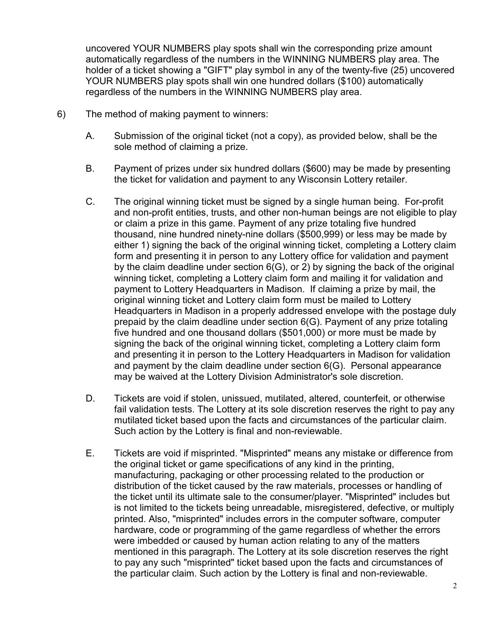uncovered YOUR NUMBERS play spots shall win the corresponding prize amount automatically regardless of the numbers in the WINNING NUMBERS play area. The holder of a ticket showing a "GIFT" play symbol in any of the twenty-five (25) uncovered YOUR NUMBERS play spots shall win one hundred dollars (\$100) automatically regardless of the numbers in the WINNING NUMBERS play area.

- 6) The method of making payment to winners:
	- A. Submission of the original ticket (not a copy), as provided below, shall be the sole method of claiming a prize.
	- B. Payment of prizes under six hundred dollars (\$600) may be made by presenting the ticket for validation and payment to any Wisconsin Lottery retailer.
	- C. The original winning ticket must be signed by a single human being. For-profit and non-profit entities, trusts, and other non-human beings are not eligible to play or claim a prize in this game. Payment of any prize totaling five hundred thousand, nine hundred ninety-nine dollars (\$500,999) or less may be made by either 1) signing the back of the original winning ticket, completing a Lottery claim form and presenting it in person to any Lottery office for validation and payment by the claim deadline under section 6(G), or 2) by signing the back of the original winning ticket, completing a Lottery claim form and mailing it for validation and payment to Lottery Headquarters in Madison. If claiming a prize by mail, the original winning ticket and Lottery claim form must be mailed to Lottery Headquarters in Madison in a properly addressed envelope with the postage duly prepaid by the claim deadline under section 6(G). Payment of any prize totaling five hundred and one thousand dollars (\$501,000) or more must be made by signing the back of the original winning ticket, completing a Lottery claim form and presenting it in person to the Lottery Headquarters in Madison for validation and payment by the claim deadline under section 6(G). Personal appearance may be waived at the Lottery Division Administrator's sole discretion.
	- D. Tickets are void if stolen, unissued, mutilated, altered, counterfeit, or otherwise fail validation tests. The Lottery at its sole discretion reserves the right to pay any mutilated ticket based upon the facts and circumstances of the particular claim. Such action by the Lottery is final and non-reviewable.
	- E. Tickets are void if misprinted. "Misprinted" means any mistake or difference from the original ticket or game specifications of any kind in the printing, manufacturing, packaging or other processing related to the production or distribution of the ticket caused by the raw materials, processes or handling of the ticket until its ultimate sale to the consumer/player. "Misprinted" includes but is not limited to the tickets being unreadable, misregistered, defective, or multiply printed. Also, "misprinted" includes errors in the computer software, computer hardware, code or programming of the game regardless of whether the errors were imbedded or caused by human action relating to any of the matters mentioned in this paragraph. The Lottery at its sole discretion reserves the right to pay any such "misprinted" ticket based upon the facts and circumstances of the particular claim. Such action by the Lottery is final and non-reviewable.